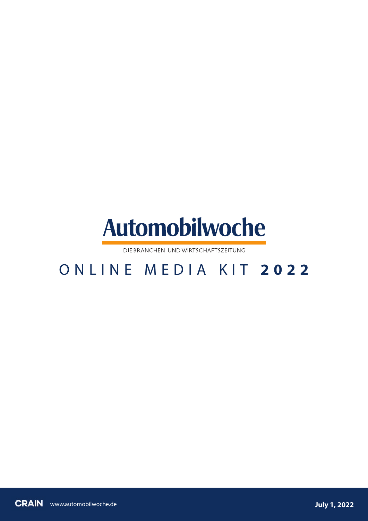

DIE BRANCHEN-UND WIRTSCHAFTSZEITUNG

# ONLINE MEDIA KIT **2 0 2 2**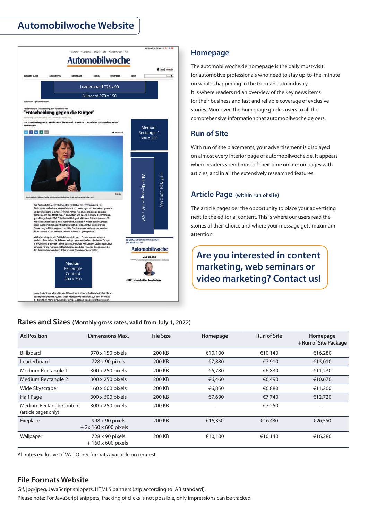## **Automobilwoche Website**



## **Homepage**

The automobilwoche.de homepage is the daily must-visit for automotive professionals who need to stay up-to-the-minute on what is happening in the German auto industry. It is where readers nd an overview of the key news items for their business and fast and reliable coverage of exclusive stories. Moreover, the homepage guides users to all the comprehensive information that automobilwoche.de oers.

## **Run of Site**

With run of site placements, your advertisement is displayed on almost every interior page of automobilwoche.de. It appears where readers spend most of their time online: on pages with articles, and in all the extensively researched features.

## **Article Page (within run of site)**

The article pages oer the opportunity to place your advertising next to the editorial content. This is where our users read the stories of their choice and where your message gets maximum attention.

## **Are you interested in content marketing, web seminars or video marketing? Contact us!**

### **Rates and Sizes (Monthly gross rates, valid from July 1, 2022)**

| <b>Ad Position</b>                               | <b>Dimensions Max.</b>                        | <b>File Size</b> | Homepage                 | <b>Run of Site</b> | Homepage<br>+ Run of Site Package |
|--------------------------------------------------|-----------------------------------------------|------------------|--------------------------|--------------------|-----------------------------------|
| <b>Billboard</b>                                 | 970 x 150 pixels                              | 200 KB           | €10,100                  | €10.140            | €16,280                           |
| Leaderboard                                      | 728 x 90 pixels                               | 200 KB           | €7,880                   | €7,910             | €13,010                           |
| Medium Rectangle 1                               | 300 x 250 pixels                              | 200 KB           | €6,780                   | €6,830             | €11,230                           |
| <b>Medium Rectangle 2</b>                        | 300 x 250 pixels                              | 200 KB           | €6,460                   | €6,490             | €10,670                           |
| Wide Skyscraper                                  | 160 x 600 pixels                              | 200 KB           | €6,850                   | €6,880             | €11,200                           |
| Half Page                                        | 300 x 600 pixels                              | 200 KB           | €7,690                   | €7,740             | €12,720                           |
| Medium Rectangle Content<br>(article pages only) | 300 x 250 pixels                              | 200 KB           | $\overline{\phantom{0}}$ | €7,250             | $\overline{\phantom{0}}$          |
| Fireplace                                        | 998 x 90 pixels<br>$+2x160 \times 600$ pixels | 200 KB           | €16,350                  | €16,430            | €26,550                           |
| Wallpaper                                        | 728 x 90 pixels<br>$+160 \times 600$ pixels   | 200 KB           | €10,100                  | €10,140            | €16,280                           |

All rates exclusive of VAT. Other formats available on request.

## **File Formats Website**

Gif, jpg/jpeg, JavaScript snippets, HTML5 banners (.zip according to IAB standard).

Please note: For JavaScript snippets, tracking of clicks is not possible, only impressions can be tracked.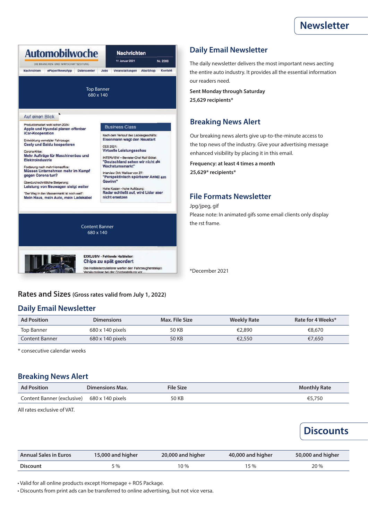

## **Daily Email Newsletter**

The daily newsletter delivers the most important news aecting the entire auto industry. It provides all the essential information our readers need.

**Sent Monday through Saturday 25,629 recipients\***

## **Breaking News Alert**

Our breaking news alerts give up-to-the-minute access to the top news of the industry. Give your advertising message enhanced visibility by placing it in this email.

**Frequency: at least 4 times a month 25,629\* recipients\***

### **File Formats Newsletter**

Jpg/jpeg, gif

Please note: In animated gifs some email clients only display the rst frame.

\*December 2021

### **Rates and Sizes (Gross rates valid from July 1, 2022)**

**EXKLUSIV - Fehlende Halbleiter:** Chips zu spät geordert

Die Halbleiterzulieferer werfen den Fahrzeugherstellern<br>Versäumnisse bei der Chipbestellung vor....

### **Daily Email Newsletter**

| <b>Ad Position</b>    | <b>Dimensions</b>       | Max. File Size | Weekly Rate | Rate for 4 Weeks* |
|-----------------------|-------------------------|----------------|-------------|-------------------|
| Top Banner            | $680 \times 140$ pixels | 50 KB          | €2,890      | €8,670            |
| <b>Content Banner</b> | $680 \times 140$ pixels | 50 KB          | €2,550      | €7.650            |

\* consecutive calendar weeks

### **Breaking News Alert**

| <b>Ad Position</b>                          | <b>Dimensions Max.</b> | <b>File Size</b> | <b>Monthly Rate</b> |
|---------------------------------------------|------------------------|------------------|---------------------|
| Content Banner (exclusive) 680 x 140 pixels |                        | 50 KB            | €5,750              |

All rates exclusive of VAT.

## **Discounts**

| <b>Annual Sales in Euros</b> | 15,000 and higher | 20,000 and higher | 40,000 and higher | 50,000 and higher |
|------------------------------|-------------------|-------------------|-------------------|-------------------|
| <b>Discount</b>              | 5 %               | 10 %              | 15 %              | 20%               |

• Valid for all online products except Homepage + ROS Package.

• Discounts from print ads can be transferred to online advertising, but not vice versa.